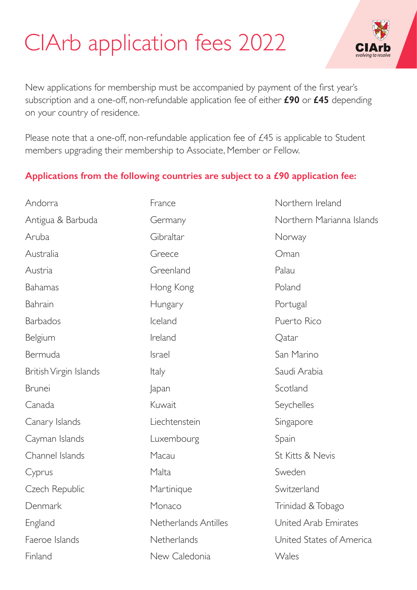## CIArb application fees 2022



New applications for membership must be accompanied by payment of the first year's subscription and a one-off, non-refundable application fee of either **£90** or **£45** depending on your country of residence.

Please note that a one-off, non-refundable application fee of £45 is applicable to Student members upgrading their membership to Associate, Member or Fellow.

## **Applications from the following countries are subject to a £90 application fee:**

Andorra Antigua & Barbuda Aruba Australia Austria Bahamas Bahrain **Barbados** Belgium Bermuda British Virgin Islands Brunei Canada Canary Islands Cayman Islands Channel Islands Cyprus Czech Republic Denmark England Faeroe Islands Finland France Germany Gibraltar Greece Greenland Hong Kong Hungary Iceland Ireland Israel Italy Japan Kuwait Liechtenstein Luxembourg Macau Malta **Martinique** Monaco Netherlands Antilles **Netherlands** New Caledonia Northern Ireland Northern Marianna Islands Norway Oman Palau Poland Portugal Puerto Rico **O**atar San Marino Saudi Arabia **Scotland** Seychelles Singapore Spain St Kitts & Nevis Sweden Switzerland Trinidad & Tobago United Arab Emirates United States of America Wales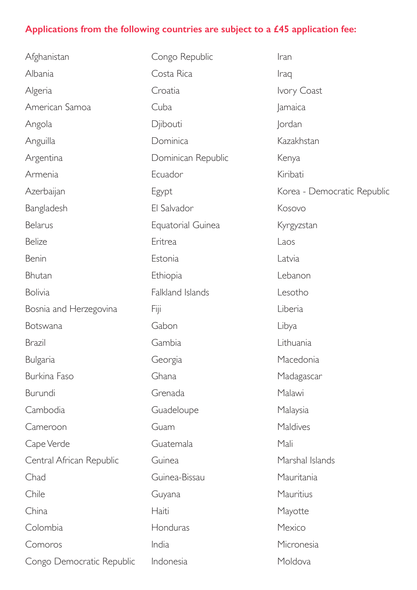## **Applications from the following countries are subject to a £45 application fee:**

| Afghanistan               | Congo Republic     |  |
|---------------------------|--------------------|--|
| Albania                   | Costa Rica         |  |
| Algeria                   | Croatia            |  |
| American Samoa            | Cuba               |  |
| Angola                    | Djibouti           |  |
| Anguilla                  | Dominica           |  |
| Argentina                 | Dominican Republic |  |
| Armenia                   | Ecuador            |  |
| Azerbaijan                | Egypt              |  |
| Bangladesh                | El Salvador        |  |
| <b>Belarus</b>            | Equatorial Guinea  |  |
| <b>Belize</b>             | Eritrea            |  |
| Benin                     | Estonia            |  |
| Bhutan                    | Ethiopia           |  |
| <b>Bolivia</b>            | Falkland Islands   |  |
| Bosnia and Herzegovina    | Fiji               |  |
| Botswana                  | Gabon              |  |
| <b>Brazil</b>             | Gambia             |  |
| Bulgaria                  | Georgia            |  |
| <b>Burkina Faso</b>       | Ghana              |  |
| Burundi                   | Grenada            |  |
| Cambodia                  | Guadeloupe         |  |
| Cameroon                  | Guam               |  |
| Cape Verde                | Guatemala          |  |
| Central African Republic  | Guinea             |  |
| Chad                      | Guinea-Bissau      |  |
| Chile                     | Guyana             |  |
| China                     | Haiti              |  |
| Colombia                  | Honduras           |  |
| Comoros                   | India              |  |
| Congo Democratic Republic | Indonesia          |  |

Iran Iraq Ivory Coast Jamaica Jordan Kazakhstan Kenya Kiribati Korea - Democratic Republic Kosovo Kyrgyzstan Laos Latvia Lebanon Lesotho Liberia Libya Lithuania Macedonia Madagascar Malawi Malaysia **Maldives** Mali Marshal Islands Mauritania **Mauritius** Mayotte Mexico Micronesia Moldova